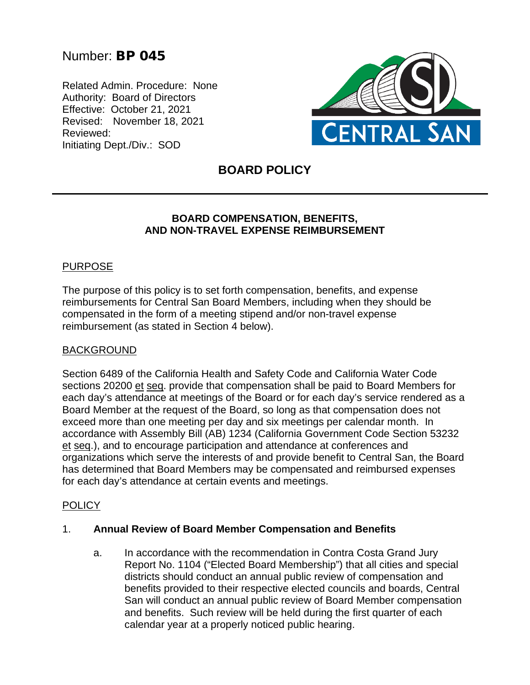# Number: BP 045

Related Admin. Procedure: None Authority: Board of Directors Effective: October 21, 2021 Revised: November 18, 2021 Reviewed: Initiating Dept./Div.: SOD



# **BOARD POLICY**

## **BOARD COMPENSATION, BENEFITS, AND NON-TRAVEL EXPENSE REIMBURSEMENT**

## PURPOSE

The purpose of this policy is to set forth compensation, benefits, and expense reimbursements for Central San Board Members, including when they should be compensated in the form of a meeting stipend and/or non-travel expense reimbursement (as stated in Section 4 below).

#### BACKGROUND

Section 6489 of the California Health and Safety Code and California Water Code sections 20200 et seq. provide that compensation shall be paid to Board Members for each day's attendance at meetings of the Board or for each day's service rendered as a Board Member at the request of the Board, so long as that compensation does not exceed more than one meeting per day and six meetings per calendar month. In accordance with Assembly Bill (AB) 1234 (California Government Code Section 53232 et seq.), and to encourage participation and attendance at conferences and organizations which serve the interests of and provide benefit to Central San, the Board has determined that Board Members may be compensated and reimbursed expenses for each day's attendance at certain events and meetings.

## **POLICY**

#### 1. **Annual Review of Board Member Compensation and Benefits**

a. In accordance with the recommendation in Contra Costa Grand Jury Report No. 1104 ("Elected Board Membership") that all cities and special districts should conduct an annual public review of compensation and benefits provided to their respective elected councils and boards, Central San will conduct an annual public review of Board Member compensation and benefits. Such review will be held during the first quarter of each calendar year at a properly noticed public hearing.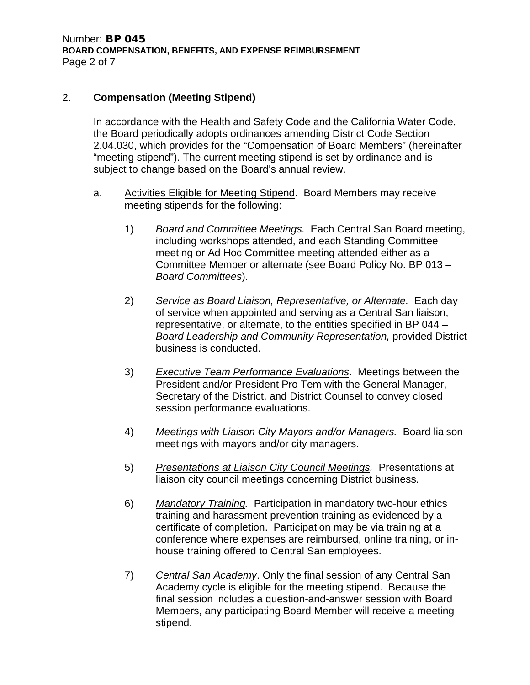### 2. **Compensation (Meeting Stipend)**

In accordance with the Health and Safety Code and the California Water Code, the Board periodically adopts ordinances amending District Code Section 2.04.030, which provides for the "Compensation of Board Members" (hereinafter "meeting stipend"). The current meeting stipend is set by ordinance and is subject to change based on the Board's annual review.

- a. Activities Eligible for Meeting Stipend. Board Members may receive meeting stipends for the following:
	- 1) *Board and Committee Meetings.* Each Central San Board meeting, including workshops attended, and each Standing Committee meeting or Ad Hoc Committee meeting attended either as a Committee Member or alternate (see Board Policy No. BP 013 – *Board Committees*).
	- 2) *Service as Board Liaison, Representative, or Alternate.* Each day of service when appointed and serving as a Central San liaison, representative, or alternate, to the entities specified in BP 044 – *Board Leadership and Community Representation,* provided District business is conducted.
	- 3) *Executive Team Performance Evaluations*. Meetings between the President and/or President Pro Tem with the General Manager, Secretary of the District, and District Counsel to convey closed session performance evaluations.
	- 4) *Meetings with Liaison City Mayors and/or Managers.* Board liaison meetings with mayors and/or city managers.
	- 5) *Presentations at Liaison City Council Meetings.* Presentations at liaison city council meetings concerning District business.
	- 6) *Mandatory Training.* Participation in mandatory two-hour ethics training and harassment prevention training as evidenced by a certificate of completion. Participation may be via training at a conference where expenses are reimbursed, online training, or inhouse training offered to Central San employees.
	- 7) *Central San Academy*. Only the final session of any Central San Academy cycle is eligible for the meeting stipend. Because the final session includes a question-and-answer session with Board Members, any participating Board Member will receive a meeting stipend.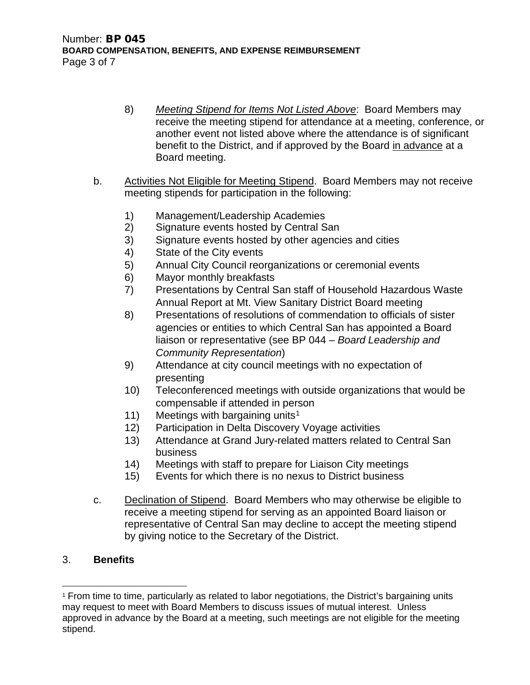- 8) *Meeting Stipend for Items Not Listed Above*: Board Members may receive the meeting stipend for attendance at a meeting, conference, or another event not listed above where the attendance is of significant benefit to the District, and if approved by the Board in advance at a Board meeting.
- b. Activities Not Eligible for Meeting Stipend. Board Members may not receive meeting stipends for participation in the following:
	- 1) Management/Leadership Academies
	- 2) Signature events hosted by Central San
	- 3) Signature events hosted by other agencies and cities
	- 4) State of the City events
	- 5) Annual City Council reorganizations or ceremonial events
	- 6) Mayor monthly breakfasts
	- 7) Presentations by Central San staff of Household Hazardous Waste Annual Report at Mt. View Sanitary District Board meeting
	- 8) Presentations of resolutions of commendation to officials of sister agencies or entities to which Central San has appointed a Board liaison or representative (see BP 044 – *Board Leadership and Community Representation*)
	- 9) Attendance at city council meetings with no expectation of presenting
	- 10) Teleconferenced meetings with outside organizations that would be compensable if attended in person
	- [1](#page-2-0)1) Meetings with bargaining units<sup>1</sup>
	- 12) Participation in Delta Discovery Voyage activities
	- 13) Attendance at Grand Jury-related matters related to Central San business
	- 14) Meetings with staff to prepare for Liaison City meetings
	- 15) Events for which there is no nexus to District business
- c. Declination of Stipend. Board Members who may otherwise be eligible to receive a meeting stipend for serving as an appointed Board liaison or representative of Central San may decline to accept the meeting stipend by giving notice to the Secretary of the District.

## 3. **Benefits**

<span id="page-2-0"></span><sup>1</sup> From time to time, particularly as related to labor negotiations, the District's bargaining units may request to meet with Board Members to discuss issues of mutual interest. Unless approved in advance by the Board at a meeting, such meetings are not eligible for the meeting stipend.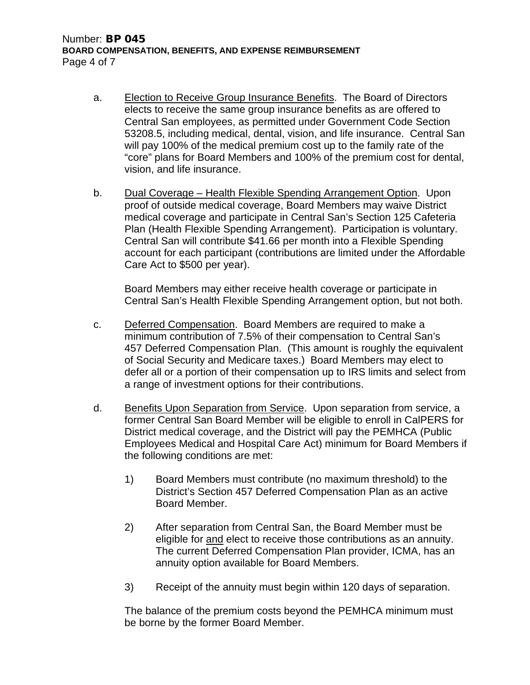- a. Election to Receive Group Insurance Benefits. The Board of Directors elects to receive the same group insurance benefits as are offered to Central San employees, as permitted under Government Code Section 53208.5, including medical, dental, vision, and life insurance. Central San will pay 100% of the medical premium cost up to the family rate of the "core" plans for Board Members and 100% of the premium cost for dental, vision, and life insurance.
- b. Dual Coverage Health Flexible Spending Arrangement Option. Upon proof of outside medical coverage, Board Members may waive District medical coverage and participate in Central San's Section 125 Cafeteria Plan (Health Flexible Spending Arrangement). Participation is voluntary. Central San will contribute \$41.66 per month into a Flexible Spending account for each participant (contributions are limited under the Affordable Care Act to \$500 per year).

Board Members may either receive health coverage or participate in Central San's Health Flexible Spending Arrangement option, but not both.

- c. Deferred Compensation. Board Members are required to make a minimum contribution of 7.5% of their compensation to Central San's 457 Deferred Compensation Plan. (This amount is roughly the equivalent of Social Security and Medicare taxes.) Board Members may elect to defer all or a portion of their compensation up to IRS limits and select from a range of investment options for their contributions.
- d. Benefits Upon Separation from Service. Upon separation from service, a former Central San Board Member will be eligible to enroll in CalPERS for District medical coverage, and the District will pay the PEMHCA (Public Employees Medical and Hospital Care Act) minimum for Board Members if the following conditions are met:
	- 1) Board Members must contribute (no maximum threshold) to the District's Section 457 Deferred Compensation Plan as an active Board Member.
	- 2) After separation from Central San, the Board Member must be eligible for and elect to receive those contributions as an annuity. The current Deferred Compensation Plan provider, ICMA, has an annuity option available for Board Members.
	- 3) Receipt of the annuity must begin within 120 days of separation.

The balance of the premium costs beyond the PEMHCA minimum must be borne by the former Board Member.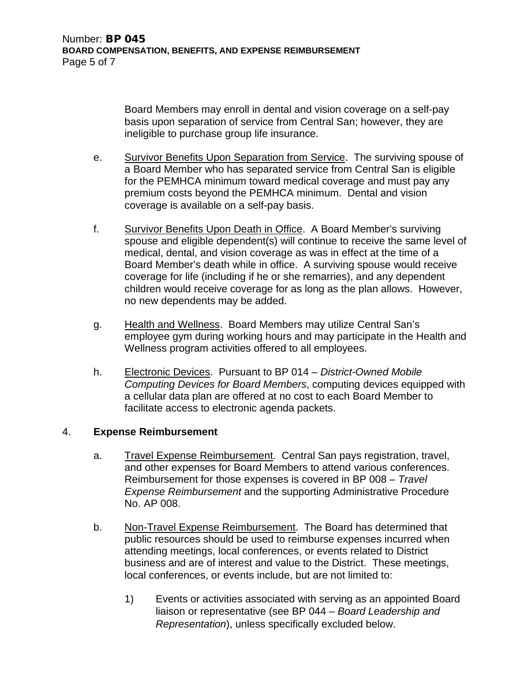Board Members may enroll in dental and vision coverage on a self-pay basis upon separation of service from Central San; however, they are ineligible to purchase group life insurance.

- e. Survivor Benefits Upon Separation from Service. The surviving spouse of a Board Member who has separated service from Central San is eligible for the PEMHCA minimum toward medical coverage and must pay any premium costs beyond the PEMHCA minimum. Dental and vision coverage is available on a self-pay basis.
- f. Survivor Benefits Upon Death in Office. A Board Member's surviving spouse and eligible dependent(s) will continue to receive the same level of medical, dental, and vision coverage as was in effect at the time of a Board Member's death while in office. A surviving spouse would receive coverage for life (including if he or she remarries), and any dependent children would receive coverage for as long as the plan allows. However, no new dependents may be added.
- g. Health and Wellness. Board Members may utilize Central San's employee gym during working hours and may participate in the Health and Wellness program activities offered to all employees.
- h. Electronic Devices. Pursuant to BP 014 *District-Owned Mobile Computing Devices for Board Members*, computing devices equipped with a cellular data plan are offered at no cost to each Board Member to facilitate access to electronic agenda packets.

## 4. **Expense Reimbursement**

- a. Travel Expense Reimbursement. Central San pays registration, travel, and other expenses for Board Members to attend various conferences. Reimbursement for those expenses is covered in BP 008 – *Travel Expense Reimbursement* and the supporting Administrative Procedure No. AP 008.
- b. Non-Travel Expense Reimbursement. The Board has determined that public resources should be used to reimburse expenses incurred when attending meetings, local conferences, or events related to District business and are of interest and value to the District. These meetings, local conferences, or events include, but are not limited to:
	- 1) Events or activities associated with serving as an appointed Board liaison or representative (see BP 044 – *Board Leadership and Representation*), unless specifically excluded below.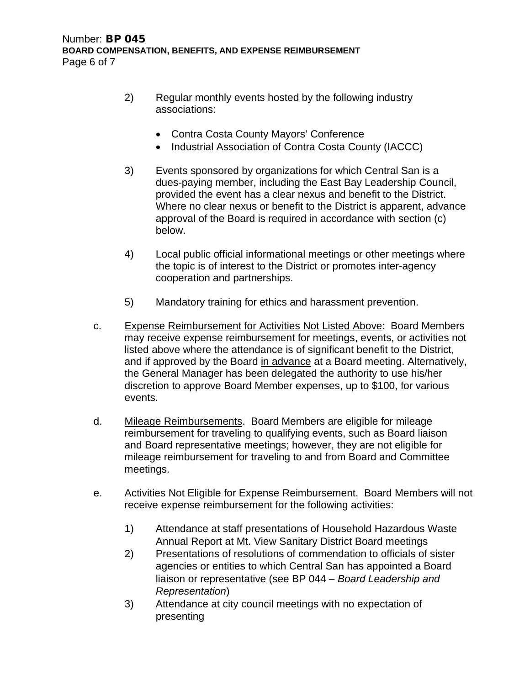- 2) Regular monthly events hosted by the following industry associations:
	- Contra Costa County Mayors' Conference
	- Industrial Association of Contra Costa County (IACCC)
- 3) Events sponsored by organizations for which Central San is a dues-paying member, including the East Bay Leadership Council, provided the event has a clear nexus and benefit to the District. Where no clear nexus or benefit to the District is apparent, advance approval of the Board is required in accordance with section (c) below.
- 4) Local public official informational meetings or other meetings where the topic is of interest to the District or promotes inter-agency cooperation and partnerships.
- 5) Mandatory training for ethics and harassment prevention.
- c. Expense Reimbursement for Activities Not Listed Above: Board Members may receive expense reimbursement for meetings, events, or activities not listed above where the attendance is of significant benefit to the District, and if approved by the Board in advance at a Board meeting. Alternatively, the General Manager has been delegated the authority to use his/her discretion to approve Board Member expenses, up to \$100, for various events.
- d. Mileage Reimbursements. Board Members are eligible for mileage reimbursement for traveling to qualifying events, such as Board liaison and Board representative meetings; however, they are not eligible for mileage reimbursement for traveling to and from Board and Committee meetings.
- e. Activities Not Eligible for Expense Reimbursement. Board Members will not receive expense reimbursement for the following activities:
	- 1) Attendance at staff presentations of Household Hazardous Waste Annual Report at Mt. View Sanitary District Board meetings
	- 2) Presentations of resolutions of commendation to officials of sister agencies or entities to which Central San has appointed a Board liaison or representative (see BP 044 – *Board Leadership and Representation*)
	- 3) Attendance at city council meetings with no expectation of presenting